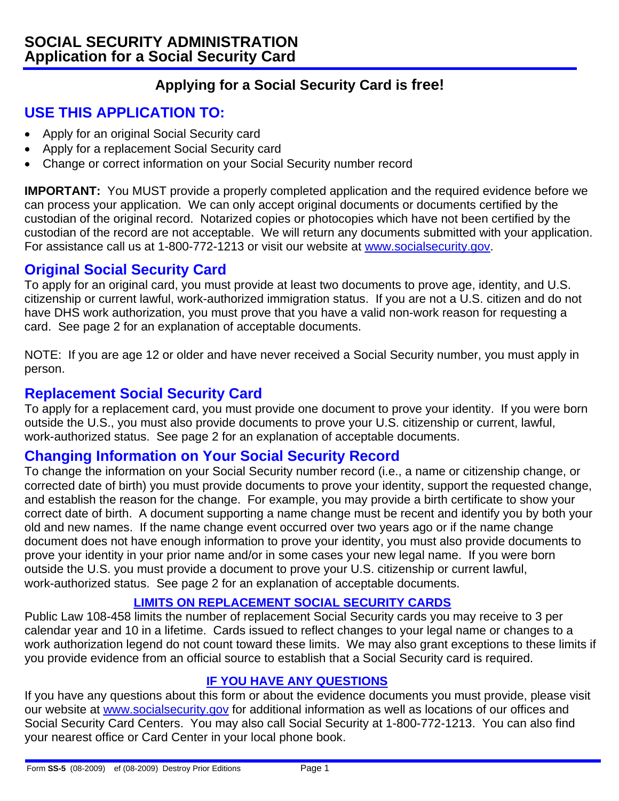# **Applying for a Social Security Card is free!**

# **USE THIS APPLICATION TO:**

- Apply for an original Social Security card
- Apply for a replacement Social Security card
- Change or correct information on your Social Security number record

**IMPORTANT:** You MUST provide a properly completed application and the required evidence before we can process your application. We can only accept original documents or documents certified by the custodian of the original record. Notarized copies or photocopies which have not been certified by the custodian of the record are not acceptable. We will return any documents submitted with your application. For assistance call us at 1-800-772-1213 or visit our website at www.socialsecurity.gov.

### **Original Social Security Card**

To apply for an original card, you must provide at least two documents to prove age, identity, and U.S. citizenship or current lawful, work-authorized immigration status. If you are not a U.S. citizen and do not have DHS work authorization, you must prove that you have a valid non-work reason for requesting a card. See page 2 for an explanation of acceptable documents.

NOTE: If you are age 12 or older and have never received a Social Security number, you must apply in person.

### **Replacement Social Security Card**

To apply for a replacement card, you must provide one document to prove your identity. If you were born outside the U.S., you must also provide documents to prove your U.S. citizenship or current, lawful, work-authorized status. See page 2 for an explanation of acceptable documents.

### **Changing Information on Your Social Security Record**

To change the information on your Social Security number record (i.e., a name or citizenship change, or corrected date of birth) you must provide documents to prove your identity, support the requested change, and establish the reason for the change. For example, you may provide a birth certificate to show your correct date of birth. A document supporting a name change must be recent and identify you by both your old and new names. If the name change event occurred over two years ago or if the name change document does not have enough information to prove your identity, you must also provide documents to prove your identity in your prior name and/or in some cases your new legal name. If you were born outside the U.S. you must provide a document to prove your U.S. citizenship or current lawful, work-authorized status. See page 2 for an explanation of acceptable documents.

#### **LIMITS ON REPLACEMENT SOCIAL SECURITY CARDS**

Public Law 108-458 limits the number of replacement Social Security cards you may receive to 3 per calendar year and 10 in a lifetime. Cards issued to reflect changes to your legal name or changes to a work authorization legend do not count toward these limits. We may also grant exceptions to these limits if you provide evidence from an official source to establish that a Social Security card is required.

#### **IF YOU HAVE ANY QUESTIONS**

If you have any questions about this form or about the evidence documents you must provide, please visit our website at www.socialsecurity.gov for additional information as well as locations of our offices and Social Security Card Centers. You may also call Social Security at 1-800-772-1213. You can also find your nearest office or Card Center in your local phone book.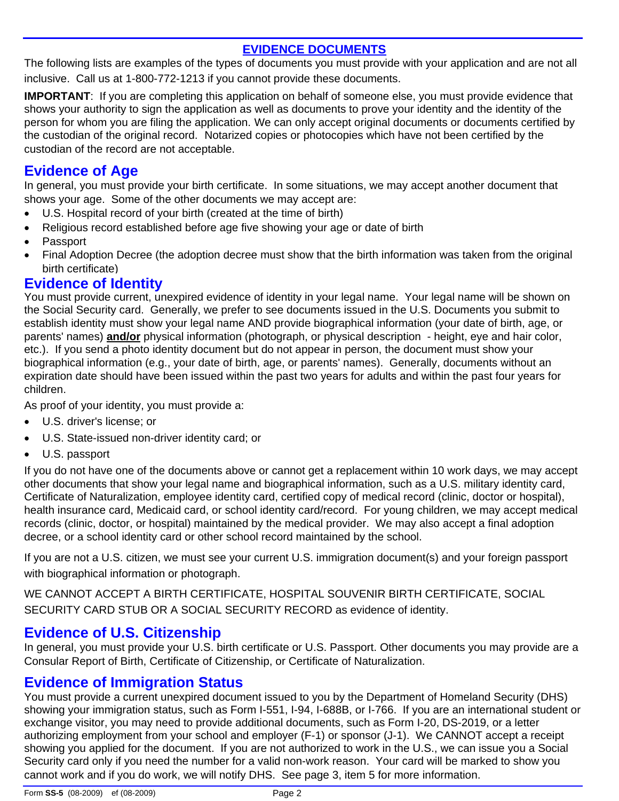#### **EVIDENCE DOCUMENTS**

The following lists are examples of the types of documents you must provide with your application and are not all inclusive. Call us at 1-800-772-1213 if you cannot provide these documents.

**IMPORTANT:** If you are completing this application on behalf of someone else, you must provide evidence that shows your authority to sign the application as well as documents to prove your identity and the identity of the person for whom you are filing the application. We can only accept original documents or documents certified by the custodian of the original record. Notarized copies or photocopies which have not been certified by the custodian of the record are not acceptable.

# **Evidence of Age**

In general, you must provide your birth certificate. In some situations, we may accept another document that shows your age. Some of the other documents we may accept are:

- U.S. Hospital record of your birth (created at the time of birth)
- Religious record established before age five showing your age or date of birth
- Passport
- Final Adoption Decree (the adoption decree must show that the birth information was taken from the original birth certificate)

### **Evidence of Identity**

You must provide current, unexpired evidence of identity in your legal name. Your legal name will be shown on the Social Security card. Generally, we prefer to see documents issued in the U.S. Documents you submit to establish identity must show your legal name AND provide biographical information (your date of birth, age, or parents' names) **and/or** physical information (photograph, or physical description - height, eye and hair color, etc.). If you send a photo identity document but do not appear in person, the document must show your biographical information (e.g., your date of birth, age, or parents' names). Generally, documents without an expiration date should have been issued within the past two years for adults and within the past four years for children.

As proof of your identity, you must provide a:

- U.S. driver's license; or
- U.S. State-issued non-driver identity card; or
- U.S. passport

If you do not have one of the documents above or cannot get a replacement within 10 work days, we may accept other documents that show your legal name and biographical information, such as a U.S. military identity card, Certificate of Naturalization, employee identity card, certified copy of medical record (clinic, doctor or hospital), health insurance card, Medicaid card, or school identity card/record. For young children, we may accept medical records (clinic, doctor, or hospital) maintained by the medical provider. We may also accept a final adoption decree, or a school identity card or other school record maintained by the school.

If you are not a U.S. citizen, we must see your current U.S. immigration document(s) and your foreign passport with biographical information or photograph.

WE CANNOT ACCEPT A BIRTH CERTIFICATE, HOSPITAL SOUVENIR BIRTH CERTIFICATE, SOCIAL SECURITY CARD STUB OR A SOCIAL SECURITY RECORD as evidence of identity.

# **Evidence of U.S. Citizenship**

In general, you must provide your U.S. birth certificate or U.S. Passport. Other documents you may provide are a Consular Report of Birth, Certificate of Citizenship, or Certificate of Naturalization.

# **Evidence of Immigration Status**

You must provide a current unexpired document issued to you by the Department of Homeland Security (DHS) showing your immigration status, such as Form I-551, I-94, I-688B, or I-766. If you are an international student or exchange visitor, you may need to provide additional documents, such as Form I-20, DS-2019, or a letter authorizing employment from your school and employer (F-1) or sponsor (J-1). We CANNOT accept a receipt showing you applied for the document. If you are not authorized to work in the U.S., we can issue you a Social Security card only if you need the number for a valid non-work reason. Your card will be marked to show you cannot work and if you do work, we will notify DHS. See page 3, item 5 for more information.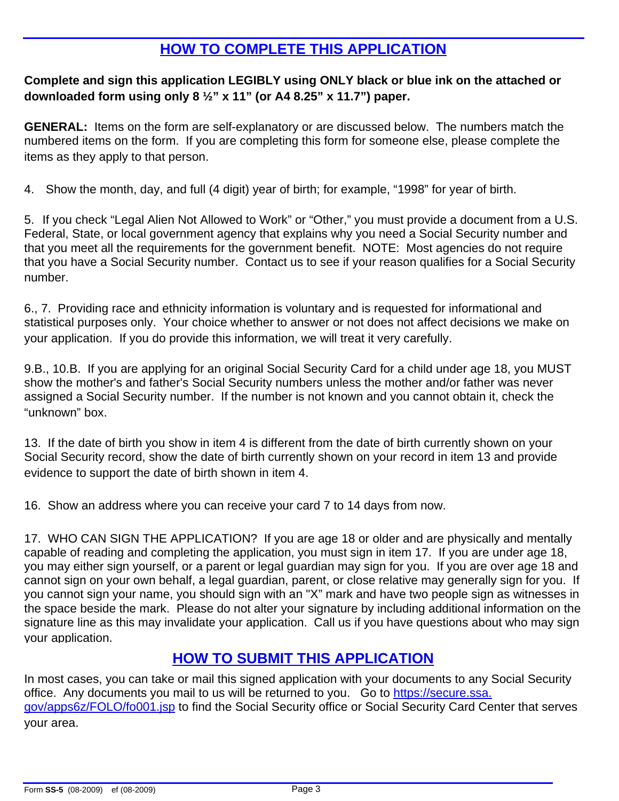# **HOW TO COMPLETE THIS APPLICATION**

#### **Complete and sign this application LEGIBLY using ONLY black or blue ink on the attached or downloaded form using only 8 ½" x 11" (or A4 8.25" x 11.7") paper.**

**GENERAL:** Items on the form are self-explanatory or are discussed below. The numbers match the numbered items on the form. If you are completing this form for someone else, please complete the items as they apply to that person.

4. Show the month, day, and full (4 digit) year of birth; for example, "1998" for year of birth.

5. If you check "Legal Alien Not Allowed to Work" or "Other," you must provide a document from a U.S. Federal, State, or local government agency that explains why you need a Social Security number and that you meet all the requirements for the government benefit. NOTE: Most agencies do not require that you have a Social Security number. Contact us to see if your reason qualifies for a Social Security number.

6., 7. Providing race and ethnicity information is voluntary and is requested for informational and statistical purposes only. Your choice whether to answer or not does not affect decisions we make on your application. If you do provide this information, we will treat it very carefully.

9.B., 10.B. If you are applying for an original Social Security Card for a child under age 18, you MUST show the mother's and father's Social Security numbers unless the mother and/or father was never assigned a Social Security number. If the number is not known and you cannot obtain it, check the "unknown" box.

13. If the date of birth you show in item 4 is different from the date of birth currently shown on your Social Security record, show the date of birth currently shown on your record in item 13 and provide evidence to support the date of birth shown in item 4.

16. Show an address where you can receive your card 7 to 14 days from now.

17. WHO CAN SIGN THE APPLICATION? If you are age 18 or older and are physically and mentally capable of reading and completing the application, you must sign in item 17. If you are under age 18, you may either sign yourself, or a parent or legal guardian may sign for you. If you are over age 18 and cannot sign on your own behalf, a legal guardian, parent, or close relative may generally sign for you. If you cannot sign your name, you should sign with an "X" mark and have two people sign as witnesses in the space beside the mark. Please do not alter your signature by including additional information on the signature line as this may invalidate your application. Call us if you have questions about who may sign your application.

# **HOW TO SUBMIT THIS APPLICATION**

In most cases, you can take or mail this signed application with your documents to any Social Security office. Any documents you mail to us will be returned to you. Go to https://secure.ssa. gov/apps6z/FOLO/fo001.jsp to find the Social Security office or Social Security Card Center that serves your area.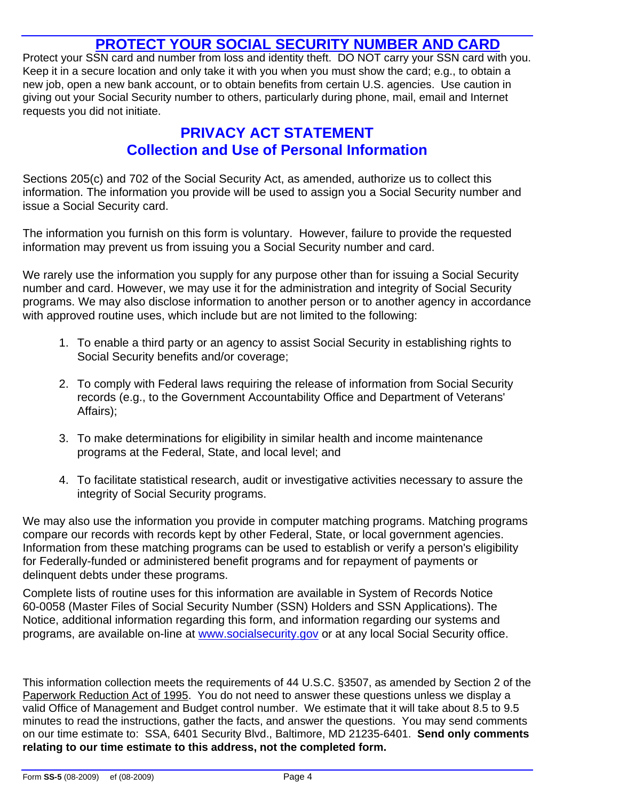## **PROTECT YOUR SOCIAL SECURITY NUMBER AND CARD**

Protect your SSN card and number from loss and identity theft. DO NOT carry your SSN card with you. Keep it in a secure location and only take it with you when you must show the card; e.g., to obtain a new job, open a new bank account, or to obtain benefits from certain U.S. agencies. Use caution in giving out your Social Security number to others, particularly during phone, mail, email and Internet requests you did not initiate.

# **PRIVACY ACT STATEMENT Collection and Use of Personal Information**

Sections 205(c) and 702 of the Social Security Act, as amended, authorize us to collect this information. The information you provide will be used to assign you a Social Security number and issue a Social Security card.

The information you furnish on this form is voluntary. However, failure to provide the requested information may prevent us from issuing you a Social Security number and card.

We rarely use the information you supply for any purpose other than for issuing a Social Security number and card. However, we may use it for the administration and integrity of Social Security programs. We may also disclose information to another person or to another agency in accordance with approved routine uses, which include but are not limited to the following:

- 1. To enable a third party or an agency to assist Social Security in establishing rights to Social Security benefits and/or coverage;
- 2. To comply with Federal laws requiring the release of information from Social Security records (e.g., to the Government Accountability Office and Department of Veterans' Affairs);
- 3. To make determinations for eligibility in similar health and income maintenance programs at the Federal, State, and local level; and
- 4. To facilitate statistical research, audit or investigative activities necessary to assure the integrity of Social Security programs.

We may also use the information you provide in computer matching programs. Matching programs compare our records with records kept by other Federal, State, or local government agencies. Information from these matching programs can be used to establish or verify a person's eligibility for Federally-funded or administered benefit programs and for repayment of payments or delinquent debts under these programs.

Complete lists of routine uses for this information are available in System of Records Notice 60-0058 (Master Files of Social Security Number (SSN) Holders and SSN Applications). The Notice, additional information regarding this form, and information regarding our systems and programs, are available on-line at www.socialsecurity.gov or at any local Social Security office.

This information collection meets the requirements of 44 U.S.C. §3507, as amended by Section 2 of the Paperwork Reduction Act of 1995. You do not need to answer these questions unless we display a valid Office of Management and Budget control number. We estimate that it will take about 8.5 to 9.5 minutes to read the instructions, gather the facts, and answer the questions. You may send comments on our time estimate to: SSA, 6401 Security Blvd., Baltimore, MD 21235-6401. **Send only comments relating to our time estimate to this address, not the completed form.**